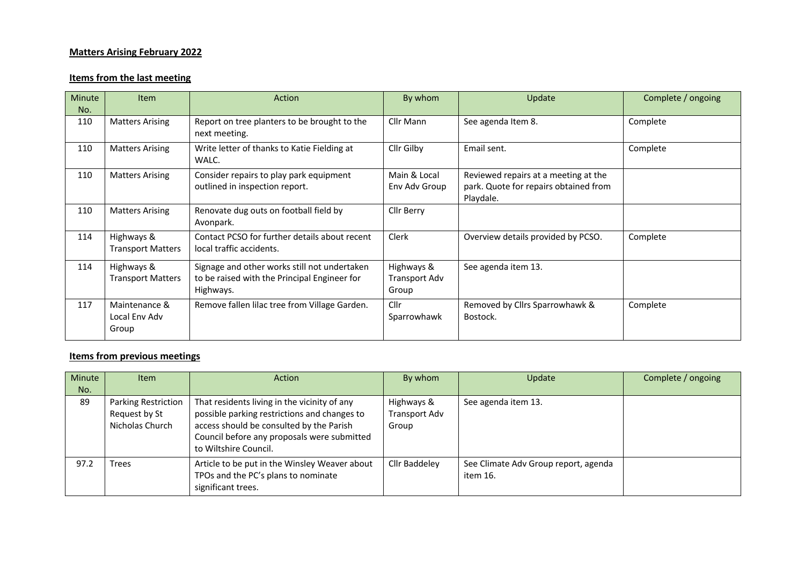## **Matters Arising February 2022**

## **Items from the last meeting**

| Minute<br>No. | <b>Item</b>                             | Action                                                                                                    | By whom                              | Update                                                                                     | Complete / ongoing |
|---------------|-----------------------------------------|-----------------------------------------------------------------------------------------------------------|--------------------------------------|--------------------------------------------------------------------------------------------|--------------------|
| 110           | <b>Matters Arising</b>                  | Report on tree planters to be brought to the<br>next meeting.                                             | Cllr Mann                            | See agenda Item 8.                                                                         | Complete           |
| 110           | <b>Matters Arising</b>                  | Write letter of thanks to Katie Fielding at<br>WALC.                                                      | Cllr Gilby                           | Email sent.                                                                                | Complete           |
| 110           | <b>Matters Arising</b>                  | Consider repairs to play park equipment<br>outlined in inspection report.                                 | Main & Local<br>Env Adv Group        | Reviewed repairs at a meeting at the<br>park. Quote for repairs obtained from<br>Playdale. |                    |
| 110           | <b>Matters Arising</b>                  | Renovate dug outs on football field by<br>Avonpark.                                                       | Cllr Berry                           |                                                                                            |                    |
| 114           | Highways &<br><b>Transport Matters</b>  | Contact PCSO for further details about recent<br>local traffic accidents.                                 | <b>Clerk</b>                         | Overview details provided by PCSO.                                                         | Complete           |
| 114           | Highways &<br><b>Transport Matters</b>  | Signage and other works still not undertaken<br>to be raised with the Principal Engineer for<br>Highways. | Highways &<br>Transport Adv<br>Group | See agenda item 13.                                                                        |                    |
| 117           | Maintenance &<br>Local Env Adv<br>Group | Remove fallen lilac tree from Village Garden.                                                             | Cllr<br>Sparrowhawk                  | Removed by Cllrs Sparrowhawk &<br>Bostock.                                                 | Complete           |

## **Items from previous meetings**

| Minute | <b>Item</b>                                                    | Action                                                                                                                                                                                                           | By whom                              | Update                                           | Complete / ongoing |
|--------|----------------------------------------------------------------|------------------------------------------------------------------------------------------------------------------------------------------------------------------------------------------------------------------|--------------------------------------|--------------------------------------------------|--------------------|
| No.    |                                                                |                                                                                                                                                                                                                  |                                      |                                                  |                    |
| 89     | <b>Parking Restriction</b><br>Request by St<br>Nicholas Church | That residents living in the vicinity of any<br>possible parking restrictions and changes to<br>access should be consulted by the Parish<br>Council before any proposals were submitted<br>to Wiltshire Council. | Highways &<br>Transport Adv<br>Group | See agenda item 13.                              |                    |
| 97.2   | Trees                                                          | Article to be put in the Winsley Weaver about<br>TPOs and the PC's plans to nominate<br>significant trees.                                                                                                       | Cllr Baddeley                        | See Climate Adv Group report, agenda<br>item 16. |                    |